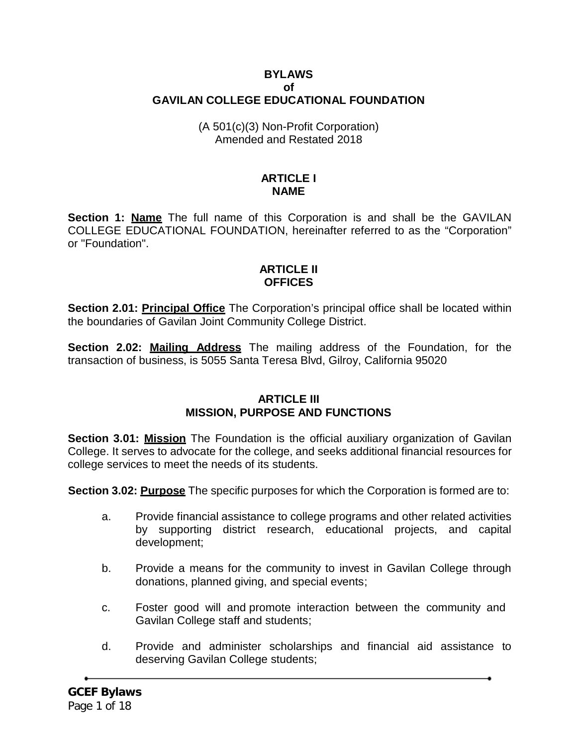## **BYLAWS of GAVILAN COLLEGE EDUCATIONAL FOUNDATION**

#### (A 501(c)(3) Non-Profit Corporation) Amended and Restated 2018

#### **ARTICLE I NAME**

**Section 1: Name** The full name of this Corporation is and shall be the GAVILAN COLLEGE EDUCATIONAL FOUNDATION, hereinafter referred to as the "Corporation" or "Foundation".

## **ARTICLE II OFFICES**

**Section 2.01: Principal Office** The Corporation's principal office shall be located within the boundaries of Gavilan Joint Community College District.

**Section 2.02: Mailing Address** The mailing address of the Foundation, for the transaction of business, is 5055 Santa Teresa Blvd, Gilroy, California 95020

#### **ARTICLE III MISSION, PURPOSE AND FUNCTIONS**

**Section 3.01: Mission** The Foundation is the official auxiliary organization of Gavilan College. It serves to advocate for the college, and seeks additional financial resources for college services to meet the needs of its students.

**Section 3.02: Purpose** The specific purposes for which the Corporation is formed are to:

- a. Provide financial assistance to college programs and other related activities by supporting district research, educational projects, and capital development;
- b. Provide a means for the community to invest in Gavilan College through donations, planned giving, and special events;
- c. Foster good will and promote interaction between the community and Gavilan College staff and students;
- d. Provide and administer scholarships and financial aid assistance to deserving Gavilan College students;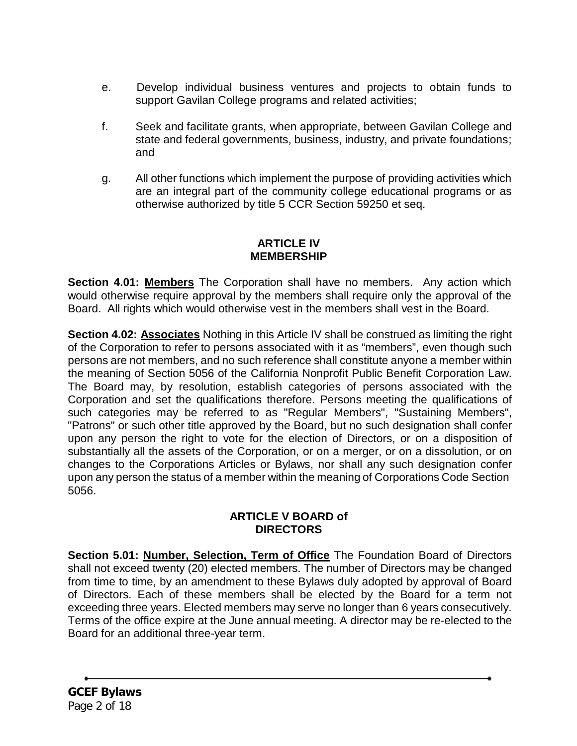- e. Develop individual business ventures and projects to obtain funds to support Gavilan College programs and related activities;
- f. Seek and facilitate grants, when appropriate, between Gavilan College and state and federal governments, business, industry, and private foundations; and
- g. All other functions which implement the purpose of providing activities which are an integral part of the community college educational programs or as otherwise authorized by title 5 CCR Section 59250 et seq.

## **ARTICLE IV MEMBERSHIP**

**Section 4.01: Members** The Corporation shall have no members. Any action which would otherwise require approval by the members shall require only the approval of the Board. All rights which would otherwise vest in the members shall vest in the Board.

**Section 4.02: Associates** Nothing in this Article IV shall be construed as limiting the right of the Corporation to refer to persons associated with it as "members", even though such persons are not members, and no such reference shall constitute anyone a member within the meaning of Section 5056 of the California Nonprofit Public Benefit Corporation Law. The Board may, by resolution, establish categories of persons associated with the Corporation and set the qualifications therefore. Persons meeting the qualifications of such categories may be referred to as "Regular Members", "Sustaining Members", "Patrons" or such other title approved by the Board, but no such designation shall confer upon any person the right to vote for the election of Directors, or on a disposition of substantially all the assets of the Corporation, or on a merger, or on a dissolution, or on changes to the Corporations Articles or Bylaws, nor shall any such designation confer upon any person the status of a member within the meaning of Corporations Code Section 5056.

## **ARTICLE V BOARD of DIRECTORS**

**Section 5.01: Number, Selection, Term of Office** The Foundation Board of Directors shall not exceed twenty (20) elected members. The number of Directors may be changed from time to time, by an amendment to these Bylaws duly adopted by approval of Board of Directors. Each of these members shall be elected by the Board for a term not exceeding three years. Elected members may serve no longer than 6 years consecutively. Terms of the office expire at the June annual meeting. A director may be re-elected to the Board for an additional three-year term.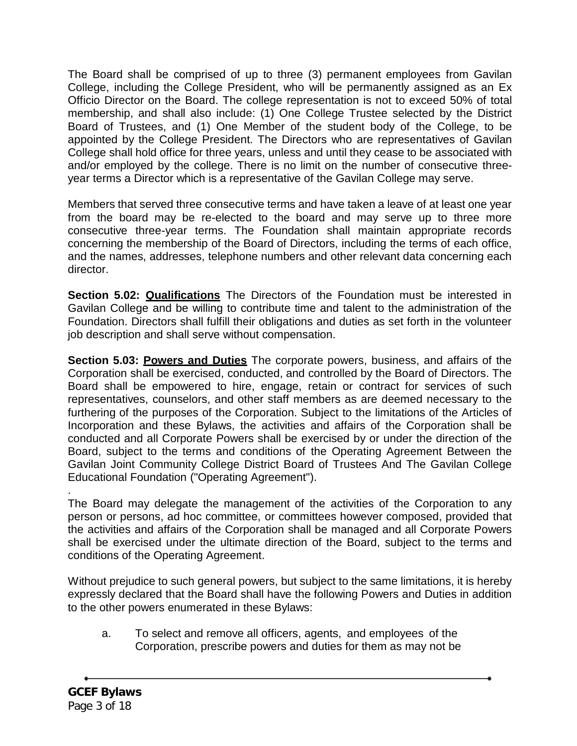The Board shall be comprised of up to three (3) permanent employees from Gavilan College, including the College President, who will be permanently assigned as an Ex Officio Director on the Board. The college representation is not to exceed 50% of total membership, and shall also include: (1) One College Trustee selected by the District Board of Trustees, and (1) One Member of the student body of the College, to be appointed by the College President. The Directors who are representatives of Gavilan College shall hold office for three years, unless and until they cease to be associated with and/or employed by the college. There is no limit on the number of consecutive threeyear terms a Director which is a representative of the Gavilan College may serve.

Members that served three consecutive terms and have taken a leave of at least one year from the board may be re-elected to the board and may serve up to three more consecutive three-year terms. The Foundation shall maintain appropriate records concerning the membership of the Board of Directors, including the terms of each office, and the names, addresses, telephone numbers and other relevant data concerning each director.

**Section 5.02: Qualifications** The Directors of the Foundation must be interested in Gavilan College and be willing to contribute time and talent to the administration of the Foundation. Directors shall fulfill their obligations and duties as set forth in the volunteer job description and shall serve without compensation.

**Section 5.03: Powers and Duties** The corporate powers, business, and affairs of the Corporation shall be exercised, conducted, and controlled by the Board of Directors. The Board shall be empowered to hire, engage, retain or contract for services of such representatives, counselors, and other staff members as are deemed necessary to the furthering of the purposes of the Corporation. Subject to the limitations of the Articles of Incorporation and these Bylaws, the activities and affairs of the Corporation shall be conducted and all Corporate Powers shall be exercised by or under the direction of the Board, subject to the terms and conditions of the Operating Agreement Between the Gavilan Joint Community College District Board of Trustees And The Gavilan College Educational Foundation ("Operating Agreement").

. The Board may delegate the management of the activities of the Corporation to any person or persons, ad hoc committee, or committees however composed, provided that the activities and affairs of the Corporation shall be managed and all Corporate Powers shall be exercised under the ultimate direction of the Board, subject to the terms and conditions of the Operating Agreement.

Without prejudice to such general powers, but subject to the same limitations, it is hereby expressly declared that the Board shall have the following Powers and Duties in addition to the other powers enumerated in these Bylaws:

a. To select and remove all officers, agents, and employees of the Corporation, prescribe powers and duties for them as may not be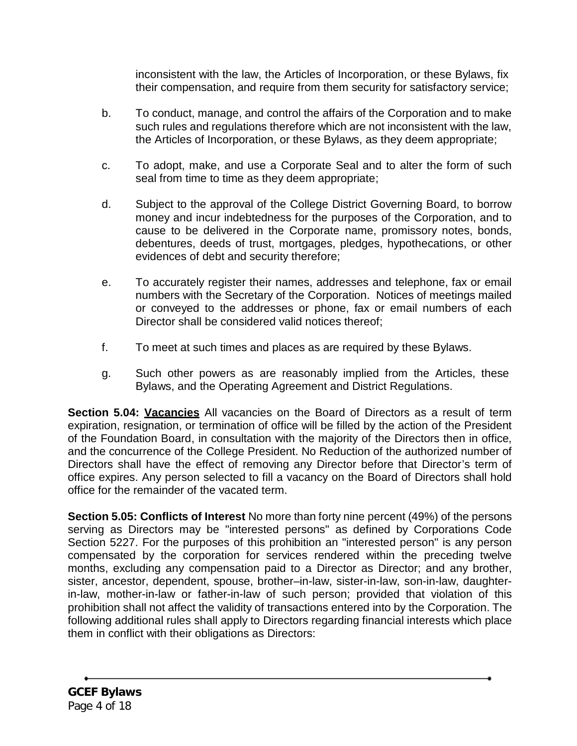inconsistent with the law, the Articles of Incorporation, or these Bylaws, fix their compensation, and require from them security for satisfactory service;

- b. To conduct, manage, and control the affairs of the Corporation and to make such rules and regulations therefore which are not inconsistent with the law, the Articles of Incorporation, or these Bylaws, as they deem appropriate;
- c. To adopt, make, and use a Corporate Seal and to alter the form of such seal from time to time as they deem appropriate;
- d. Subject to the approval of the College District Governing Board, to borrow money and incur indebtedness for the purposes of the Corporation, and to cause to be delivered in the Corporate name, promissory notes, bonds, debentures, deeds of trust, mortgages, pledges, hypothecations, or other evidences of debt and security therefore;
- e. To accurately register their names, addresses and telephone, fax or email numbers with the Secretary of the Corporation. Notices of meetings mailed or conveyed to the addresses or phone, fax or email numbers of each Director shall be considered valid notices thereof;
- f. To meet at such times and places as are required by these Bylaws.
- g. Such other powers as are reasonably implied from the Articles, these Bylaws, and the Operating Agreement and District Regulations.

**Section 5.04: Vacancies** All vacancies on the Board of Directors as a result of term expiration, resignation, or termination of office will be filled by the action of the President of the Foundation Board, in consultation with the majority of the Directors then in office, and the concurrence of the College President. No Reduction of the authorized number of Directors shall have the effect of removing any Director before that Director's term of office expires. Any person selected to fill a vacancy on the Board of Directors shall hold office for the remainder of the vacated term.

**Section 5.05: Conflicts of Interest** No more than forty nine percent (49%) of the persons serving as Directors may be "interested persons" as defined by Corporations Code Section 5227. For the purposes of this prohibition an "interested person" is any person compensated by the corporation for services rendered within the preceding twelve months, excluding any compensation paid to a Director as Director; and any brother, sister, ancestor, dependent, spouse, brother–in-law, sister-in-law, son-in-law, daughterin-law, mother-in-law or father-in-law of such person; provided that violation of this prohibition shall not affect the validity of transactions entered into by the Corporation. The following additional rules shall apply to Directors regarding financial interests which place them in conflict with their obligations as Directors: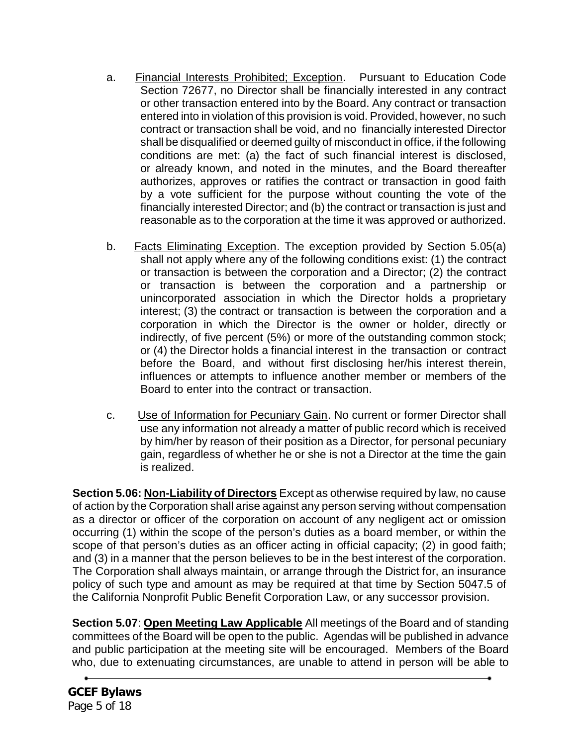- a. Financial Interests Prohibited; Exception. Pursuant to Education Code Section 72677, no Director shall be financially interested in any contract or other transaction entered into by the Board. Any contract or transaction entered into in violation of this provision is void. Provided, however, no such contract or transaction shall be void, and no financially interested Director shall be disqualified or deemed guilty of misconduct in office, if the following conditions are met: (a) the fact of such financial interest is disclosed, or already known, and noted in the minutes, and the Board thereafter authorizes, approves or ratifies the contract or transaction in good faith by a vote sufficient for the purpose without counting the vote of the financially interested Director; and (b) the contract or transaction is just and reasonable as to the corporation at the time it was approved or authorized.
- b. Facts Eliminating Exception. The exception provided by Section 5.05(a) shall not apply where any of the following conditions exist: (1) the contract or transaction is between the corporation and a Director; (2) the contract or transaction is between the corporation and a partnership or unincorporated association in which the Director holds a proprietary interest; (3) the contract or transaction is between the corporation and a corporation in which the Director is the owner or holder, directly or indirectly, of five percent (5%) or more of the outstanding common stock; or (4) the Director holds a financial interest in the transaction or contract before the Board, and without first disclosing her/his interest therein, influences or attempts to influence another member or members of the Board to enter into the contract or transaction.
- c. Use of Information for Pecuniary Gain. No current or former Director shall use any information not already a matter of public record which is received by him/her by reason of their position as a Director, for personal pecuniary gain, regardless of whether he or she is not a Director at the time the gain is realized.

**Section 5.06: Non-Liability of Directors** Except as otherwise required by law, no cause of action by the Corporation shall arise against any person serving without compensation as a director or officer of the corporation on account of any negligent act or omission occurring (1) within the scope of the person's duties as a board member, or within the scope of that person's duties as an officer acting in official capacity; (2) in good faith; and (3) in a manner that the person believes to be in the best interest of the corporation. The Corporation shall always maintain, or arrange through the District for, an insurance policy of such type and amount as may be required at that time by Section 5047.5 of the California Nonprofit Public Benefit Corporation Law, or any successor provision.

**Section 5.07**: **Open Meeting Law Applicable** All meetings of the Board and of standing committees of the Board will be open to the public. Agendas will be published in advance and public participation at the meeting site will be encouraged. Members of the Board who, due to extenuating circumstances, are unable to attend in person will be able to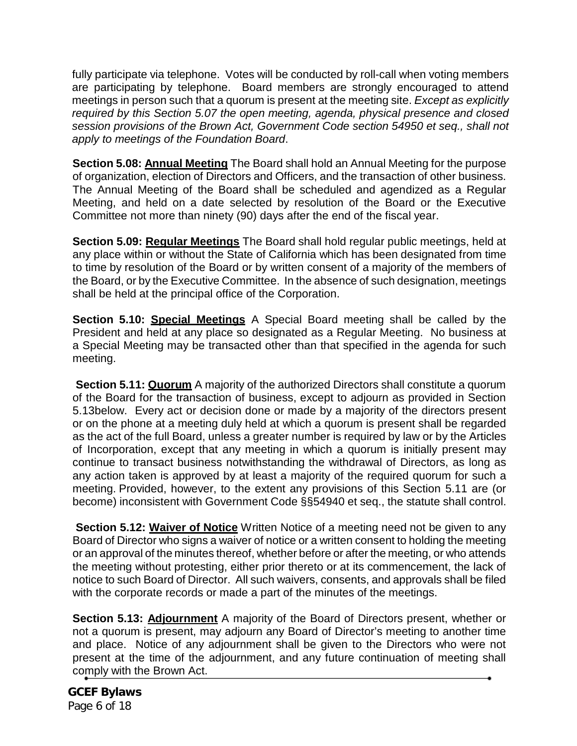fully participate via telephone. Votes will be conducted by roll-call when voting members are participating by telephone. Board members are strongly encouraged to attend meetings in person such that a quorum is present at the meeting site. *Except as explicitly required by this Section 5.07 the open meeting, agenda, physical presence and closed session provisions of the Brown Act, Government Code section 54950 et seq., shall not apply to meetings of the Foundation Board*.

**Section 5.08: Annual Meeting** The Board shall hold an Annual Meeting for the purpose of organization, election of Directors and Officers, and the transaction of other business. The Annual Meeting of the Board shall be scheduled and agendized as a Regular Meeting, and held on a date selected by resolution of the Board or the Executive Committee not more than ninety (90) days after the end of the fiscal year.

**Section 5.09: Regular Meetings** The Board shall hold regular public meetings, held at any place within or without the State of California which has been designated from time to time by resolution of the Board or by written consent of a majority of the members of the Board, or by the Executive Committee. In the absence of such designation, meetings shall be held at the principal office of the Corporation.

**Section 5.10: Special Meetings** A Special Board meeting shall be called by the President and held at any place so designated as a Regular Meeting. No business at a Special Meeting may be transacted other than that specified in the agenda for such meeting.

**Section 5.11: Quorum** A majority of the authorized Directors shall constitute a quorum of the Board for the transaction of business, except to adjourn as provided in Section 5.13below. Every act or decision done or made by a majority of the directors present or on the phone at a meeting duly held at which a quorum is present shall be regarded as the act of the full Board, unless a greater number is required by law or by the Articles of Incorporation, except that any meeting in which a quorum is initially present may continue to transact business notwithstanding the withdrawal of Directors, as long as any action taken is approved by at least a majority of the required quorum for such a meeting. Provided, however, to the extent any provisions of this Section 5.11 are (or become) inconsistent with Government Code §§54940 et seq., the statute shall control.

**Section 5.12: Waiver of Notice** Written Notice of a meeting need not be given to any Board of Director who signs a waiver of notice or a written consent to holding the meeting or an approval of the minutes thereof, whether before or after the meeting, or who attends the meeting without protesting, either prior thereto or at its commencement, the lack of notice to such Board of Director. All such waivers, consents, and approvals shall be filed with the corporate records or made a part of the minutes of the meetings.

**Section 5.13: Adjournment** A majority of the Board of Directors present, whether or not a quorum is present, may adjourn any Board of Director's meeting to another time and place. Notice of any adjournment shall be given to the Directors who were not present at the time of the adjournment, and any future continuation of meeting shall comply with the Brown Act.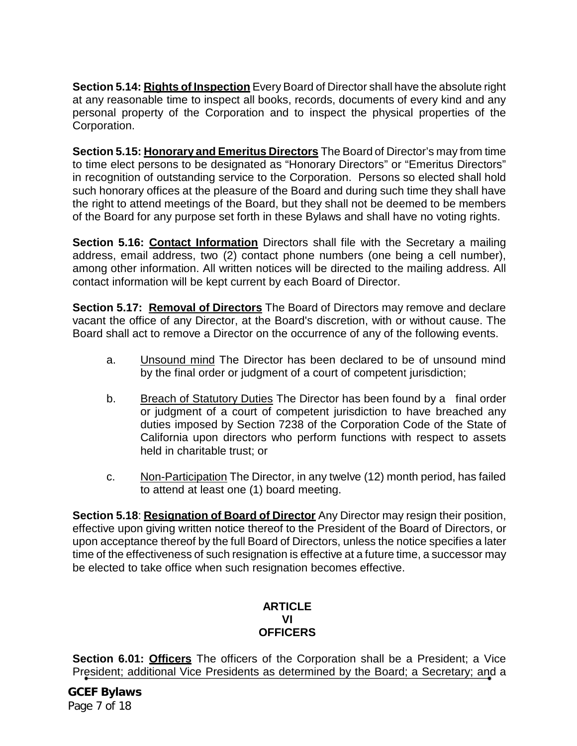**Section 5.14: Rights of Inspection** Every Board of Director shall have the absolute right at any reasonable time to inspect all books, records, documents of every kind and any personal property of the Corporation and to inspect the physical properties of the Corporation.

**Section 5.15: Honorary and Emeritus Directors** The Board of Director's may from time to time elect persons to be designated as "Honorary Directors" or "Emeritus Directors" in recognition of outstanding service to the Corporation. Persons so elected shall hold such honorary offices at the pleasure of the Board and during such time they shall have the right to attend meetings of the Board, but they shall not be deemed to be members of the Board for any purpose set forth in these Bylaws and shall have no voting rights.

**Section 5.16: Contact Information** Directors shall file with the Secretary a mailing address, email address, two (2) contact phone numbers (one being a cell number), among other information. All written notices will be directed to the mailing address. All contact information will be kept current by each Board of Director.

**Section 5.17: Removal of Directors** The Board of Directors may remove and declare vacant the office of any Director, at the Board's discretion, with or without cause. The Board shall act to remove a Director on the occurrence of any of the following events.

- a. Unsound mind The Director has been declared to be of unsound mind by the final order or judgment of a court of competent jurisdiction;
- b. Breach of Statutory Duties The Director has been found by a final order or judgment of a court of competent jurisdiction to have breached any duties imposed by Section 7238 of the Corporation Code of the State of California upon directors who perform functions with respect to assets held in charitable trust; or
- c. Non-Participation The Director, in any twelve (12) month period, has failed to attend at least one (1) board meeting.

**Section 5.18**: **Resignation of Board of Director** Any Director may resign their position, effective upon giving written notice thereof to the President of the Board of Directors, or upon acceptance thereof by the full Board of Directors, unless the notice specifies a later time of the effectiveness of such resignation is effective at a future time, a successor may be elected to take office when such resignation becomes effective.

## **ARTICLE VI OFFICERS**

**Section 6.01: Officers** The officers of the Corporation shall be a President; a Vice President; additional Vice Presidents as determined by the Board; a Secretary; and a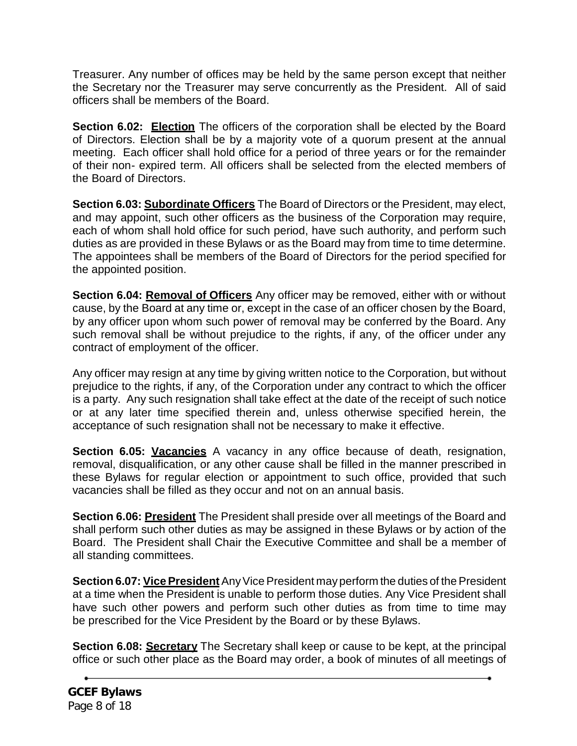Treasurer. Any number of offices may be held by the same person except that neither the Secretary nor the Treasurer may serve concurrently as the President. All of said officers shall be members of the Board.

**Section 6.02: Election** The officers of the corporation shall be elected by the Board of Directors. Election shall be by a majority vote of a quorum present at the annual meeting. Each officer shall hold office for a period of three years or for the remainder of their non- expired term. All officers shall be selected from the elected members of the Board of Directors.

**Section 6.03: Subordinate Officers** The Board of Directors or the President, may elect, and may appoint, such other officers as the business of the Corporation may require, each of whom shall hold office for such period, have such authority, and perform such duties as are provided in these Bylaws or as the Board may from time to time determine. The appointees shall be members of the Board of Directors for the period specified for the appointed position.

**Section 6.04: Removal of Officers** Any officer may be removed, either with or without cause, by the Board at any time or, except in the case of an officer chosen by the Board, by any officer upon whom such power of removal may be conferred by the Board. Any such removal shall be without prejudice to the rights, if any, of the officer under any contract of employment of the officer.

Any officer may resign at any time by giving written notice to the Corporation, but without prejudice to the rights, if any, of the Corporation under any contract to which the officer is a party. Any such resignation shall take effect at the date of the receipt of such notice or at any later time specified therein and, unless otherwise specified herein, the acceptance of such resignation shall not be necessary to make it effective.

**Section 6.05: Vacancies** A vacancy in any office because of death, resignation, removal, disqualification, or any other cause shall be filled in the manner prescribed in these Bylaws for regular election or appointment to such office, provided that such vacancies shall be filled as they occur and not on an annual basis.

**Section 6.06: President** The President shall preside over all meetings of the Board and shall perform such other duties as may be assigned in these Bylaws or by action of the Board. The President shall Chair the Executive Committee and shall be a member of all standing committees.

**Section 6.07: Vice President** Any Vice President may perform the duties of the President at a time when the President is unable to perform those duties. Any Vice President shall have such other powers and perform such other duties as from time to time may be prescribed for the Vice President by the Board or by these Bylaws.

**Section 6.08: Secretary** The Secretary shall keep or cause to be kept, at the principal office or such other place as the Board may order, a book of minutes of all meetings of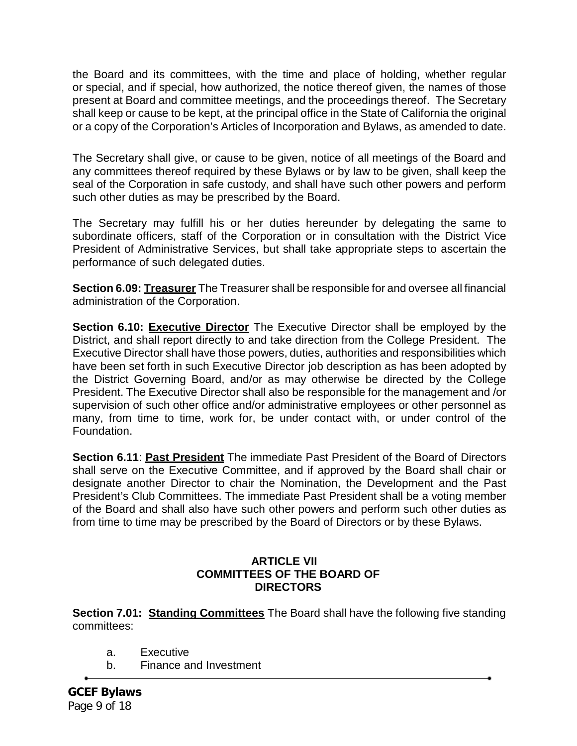the Board and its committees, with the time and place of holding, whether regular or special, and if special, how authorized, the notice thereof given, the names of those present at Board and committee meetings, and the proceedings thereof. The Secretary shall keep or cause to be kept, at the principal office in the State of California the original or a copy of the Corporation's Articles of Incorporation and Bylaws, as amended to date.

The Secretary shall give, or cause to be given, notice of all meetings of the Board and any committees thereof required by these Bylaws or by law to be given, shall keep the seal of the Corporation in safe custody, and shall have such other powers and perform such other duties as may be prescribed by the Board.

The Secretary may fulfill his or her duties hereunder by delegating the same to subordinate officers, staff of the Corporation or in consultation with the District Vice President of Administrative Services, but shall take appropriate steps to ascertain the performance of such delegated duties.

**Section 6.09: Treasurer** The Treasurer shall be responsible for and oversee all financial administration of the Corporation.

**Section 6.10: Executive Director** The Executive Director shall be employed by the District, and shall report directly to and take direction from the College President. The Executive Director shall have those powers, duties, authorities and responsibilities which have been set forth in such Executive Director job description as has been adopted by the District Governing Board, and/or as may otherwise be directed by the College President. The Executive Director shall also be responsible for the management and /or supervision of such other office and/or administrative employees or other personnel as many, from time to time, work for, be under contact with, or under control of the Foundation.

**Section 6.11**: **Past President** The immediate Past President of the Board of Directors shall serve on the Executive Committee, and if approved by the Board shall chair or designate another Director to chair the Nomination, the Development and the Past President's Club Committees. The immediate Past President shall be a voting member of the Board and shall also have such other powers and perform such other duties as from time to time may be prescribed by the Board of Directors or by these Bylaws.

#### **ARTICLE VII COMMITTEES OF THE BOARD OF DIRECTORS**

**Section 7.01: Standing Committees** The Board shall have the following five standing committees:

- a. Executive
- b. Finance and Investment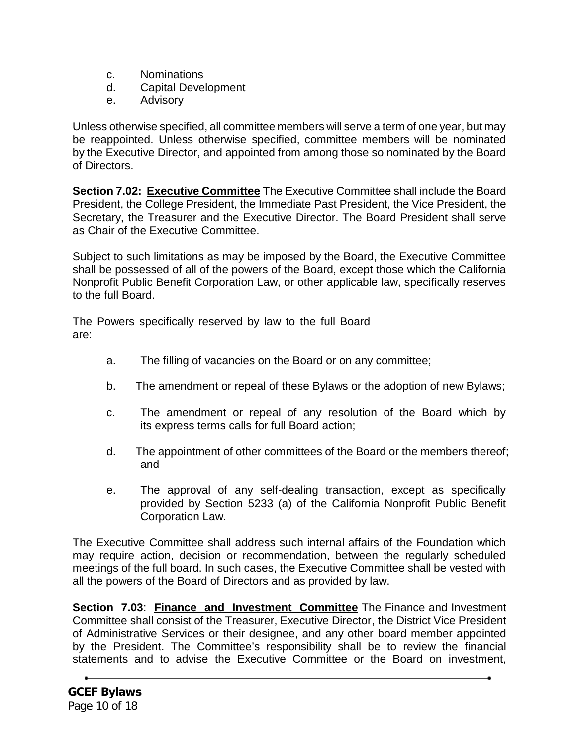- c. Nominations
- d. Capital Development
- e. Advisory

Unless otherwise specified, all committee members will serve a term of one year, but may be reappointed. Unless otherwise specified, committee members will be nominated by the Executive Director, and appointed from among those so nominated by the Board of Directors.

**Section 7.02: Executive Committee** The Executive Committee shall include the Board President, the College President, the Immediate Past President, the Vice President, the Secretary, the Treasurer and the Executive Director. The Board President shall serve as Chair of the Executive Committee.

Subject to such limitations as may be imposed by the Board, the Executive Committee shall be possessed of all of the powers of the Board, except those which the California Nonprofit Public Benefit Corporation Law, or other applicable law, specifically reserves to the full Board.

The Powers specifically reserved by law to the full Board are:

- a. The filling of vacancies on the Board or on any committee;
- b. The amendment or repeal of these Bylaws or the adoption of new Bylaws;
- c. The amendment or repeal of any resolution of the Board which by its express terms calls for full Board action;
- d. The appointment of other committees of the Board or the members thereof; and
- e. The approval of any self-dealing transaction, except as specifically provided by Section 5233 (a) of the California Nonprofit Public Benefit Corporation Law.

The Executive Committee shall address such internal affairs of the Foundation which may require action, decision or recommendation, between the regularly scheduled meetings of the full board. In such cases, the Executive Committee shall be vested with all the powers of the Board of Directors and as provided by law.

**Section 7.03**: **Finance and Investment Committee** The Finance and Investment Committee shall consist of the Treasurer, Executive Director, the District Vice President of Administrative Services or their designee, and any other board member appointed by the President. The Committee's responsibility shall be to review the financial statements and to advise the Executive Committee or the Board on investment,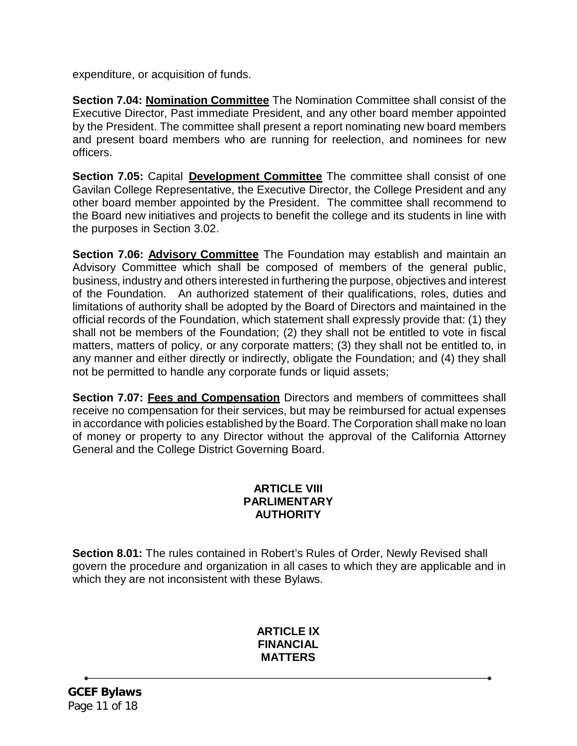expenditure, or acquisition of funds.

**Section 7.04: Nomination Committee** The Nomination Committee shall consist of the Executive Director, Past immediate President, and any other board member appointed by the President. The committee shall present a report nominating new board members and present board members who are running for reelection, and nominees for new officers.

**Section 7.05:** Capital **Development Committee** The committee shall consist of one Gavilan College Representative, the Executive Director, the College President and any other board member appointed by the President. The committee shall recommend to the Board new initiatives and projects to benefit the college and its students in line with the purposes in Section 3.02.

**Section 7.06: Advisory Committee** The Foundation may establish and maintain an Advisory Committee which shall be composed of members of the general public, business, industry and others interested in furthering the purpose, objectives and interest of the Foundation. An authorized statement of their qualifications, roles, duties and limitations of authority shall be adopted by the Board of Directors and maintained in the official records of the Foundation, which statement shall expressly provide that: (1) they shall not be members of the Foundation; (2) they shall not be entitled to vote in fiscal matters, matters of policy, or any corporate matters; (3) they shall not be entitled to, in any manner and either directly or indirectly, obligate the Foundation; and (4) they shall not be permitted to handle any corporate funds or liquid assets;

**Section 7.07: Fees and Compensation** Directors and members of committees shall receive no compensation for their services, but may be reimbursed for actual expenses in accordance with policies established by the Board. The Corporation shall make no loan of money or property to any Director without the approval of the California Attorney General and the College District Governing Board.

## **ARTICLE VIII PARLIMENTARY AUTHORITY**

**Section 8.01:** The rules contained in Robert's Rules of Order, Newly Revised shall govern the procedure and organization in all cases to which they are applicable and in which they are not inconsistent with these Bylaws.

# **ARTICLE IX FINANCIAL MATTERS**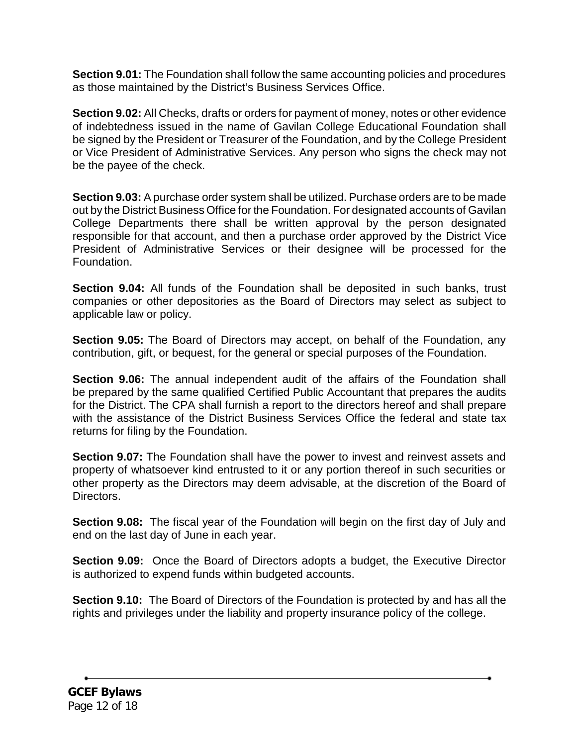**Section 9.01:** The Foundation shall follow the same accounting policies and procedures as those maintained by the District's Business Services Office.

**Section 9.02:** All Checks, drafts or orders for payment of money, notes or other evidence of indebtedness issued in the name of Gavilan College Educational Foundation shall be signed by the President or Treasurer of the Foundation, and by the College President or Vice President of Administrative Services. Any person who signs the check may not be the payee of the check.

**Section 9.03:** A purchase order system shall be utilized. Purchase orders are to be made out by the District Business Office for the Foundation. For designated accounts of Gavilan College Departments there shall be written approval by the person designated responsible for that account, and then a purchase order approved by the District Vice President of Administrative Services or their designee will be processed for the Foundation.

**Section 9.04:** All funds of the Foundation shall be deposited in such banks, trust companies or other depositories as the Board of Directors may select as subject to applicable law or policy.

**Section 9.05:** The Board of Directors may accept, on behalf of the Foundation, any contribution, gift, or bequest, for the general or special purposes of the Foundation.

**Section 9.06:** The annual independent audit of the affairs of the Foundation shall be prepared by the same qualified Certified Public Accountant that prepares the audits for the District. The CPA shall furnish a report to the directors hereof and shall prepare with the assistance of the District Business Services Office the federal and state tax returns for filing by the Foundation.

**Section 9.07:** The Foundation shall have the power to invest and reinvest assets and property of whatsoever kind entrusted to it or any portion thereof in such securities or other property as the Directors may deem advisable, at the discretion of the Board of Directors.

**Section 9.08:** The fiscal year of the Foundation will begin on the first day of July and end on the last day of June in each year.

**Section 9.09:** Once the Board of Directors adopts a budget, the Executive Director is authorized to expend funds within budgeted accounts.

**Section 9.10:** The Board of Directors of the Foundation is protected by and has all the rights and privileges under the liability and property insurance policy of the college.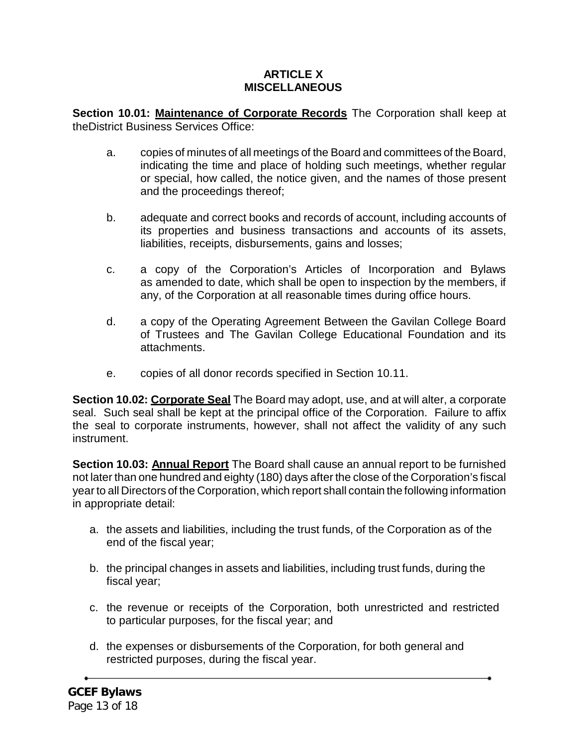## **ARTICLE X MISCELLANEOUS**

**Section 10.01: Maintenance of Corporate Records** The Corporation shall keep at theDistrict Business Services Office:

- a. copies of minutes of all meetings of the Board and committees of theBoard, indicating the time and place of holding such meetings, whether regular or special, how called, the notice given, and the names of those present and the proceedings thereof;
- b. adequate and correct books and records of account, including accounts of its properties and business transactions and accounts of its assets, liabilities, receipts, disbursements, gains and losses;
- c. a copy of the Corporation's Articles of Incorporation and Bylaws as amended to date, which shall be open to inspection by the members, if any, of the Corporation at all reasonable times during office hours.
- d. a copy of the Operating Agreement Between the Gavilan College Board of Trustees and The Gavilan College Educational Foundation and its attachments.
- e. copies of all donor records specified in Section 10.11.

**Section 10.02: Corporate Seal** The Board may adopt, use, and at will alter, a corporate seal. Such seal shall be kept at the principal office of the Corporation. Failure to affix the seal to corporate instruments, however, shall not affect the validity of any such instrument.

**Section 10.03: Annual Report** The Board shall cause an annual report to be furnished not later than one hundred and eighty (180) days after the close of the Corporation's fiscal year to all Directors of the Corporation, which report shall contain the following information in appropriate detail:

- a. the assets and liabilities, including the trust funds, of the Corporation as of the end of the fiscal year;
- b. the principal changes in assets and liabilities, including trust funds, during the fiscal year;
- c. the revenue or receipts of the Corporation, both unrestricted and restricted to particular purposes, for the fiscal year; and
- d. the expenses or disbursements of the Corporation, for both general and restricted purposes, during the fiscal year.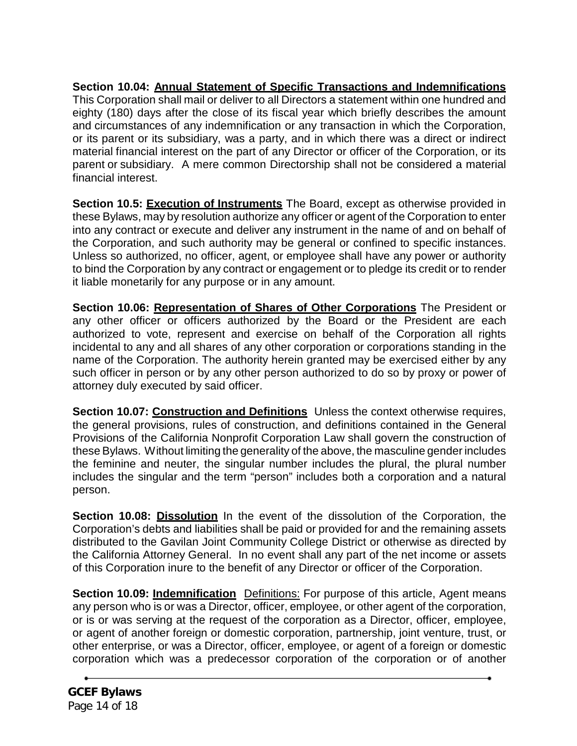**Section 10.04: Annual Statement of Specific Transactions and Indemnifications** This Corporation shall mail or deliver to all Directors a statement within one hundred and eighty (180) days after the close of its fiscal year which briefly describes the amount and circumstances of any indemnification or any transaction in which the Corporation, or its parent or its subsidiary, was a party, and in which there was a direct or indirect material financial interest on the part of any Director or officer of the Corporation, or its parent or subsidiary. A mere common Directorship shall not be considered a material financial interest.

**Section 10.5: Execution of Instruments** The Board, except as otherwise provided in these Bylaws, may by resolution authorize any officer or agent of the Corporation to enter into any contract or execute and deliver any instrument in the name of and on behalf of the Corporation, and such authority may be general or confined to specific instances. Unless so authorized, no officer, agent, or employee shall have any power or authority to bind the Corporation by any contract or engagement or to pledge its credit or to render it liable monetarily for any purpose or in any amount.

**Section 10.06: Representation of Shares of Other Corporations** The President or any other officer or officers authorized by the Board or the President are each authorized to vote, represent and exercise on behalf of the Corporation all rights incidental to any and all shares of any other corporation or corporations standing in the name of the Corporation. The authority herein granted may be exercised either by any such officer in person or by any other person authorized to do so by proxy or power of attorney duly executed by said officer.

**Section 10.07: Construction and Definitions** Unless the context otherwise requires, the general provisions, rules of construction, and definitions contained in the General Provisions of the California Nonprofit Corporation Law shall govern the construction of these Bylaws. Without limiting the generality of the above, the masculine gender includes the feminine and neuter, the singular number includes the plural, the plural number includes the singular and the term "person" includes both a corporation and a natural person.

**Section 10.08: Dissolution** In the event of the dissolution of the Corporation, the Corporation's debts and liabilities shall be paid or provided for and the remaining assets distributed to the Gavilan Joint Community College District or otherwise as directed by the California Attorney General. In no event shall any part of the net income or assets of this Corporation inure to the benefit of any Director or officer of the Corporation.

**Section 10.09: Indemnification** Definitions: For purpose of this article, Agent means any person who is or was a Director, officer, employee, or other agent of the corporation, or is or was serving at the request of the corporation as a Director, officer, employee, or agent of another foreign or domestic corporation, partnership, joint venture, trust, or other enterprise, or was a Director, officer, employee, or agent of a foreign or domestic corporation which was a predecessor corporation of the corporation or of another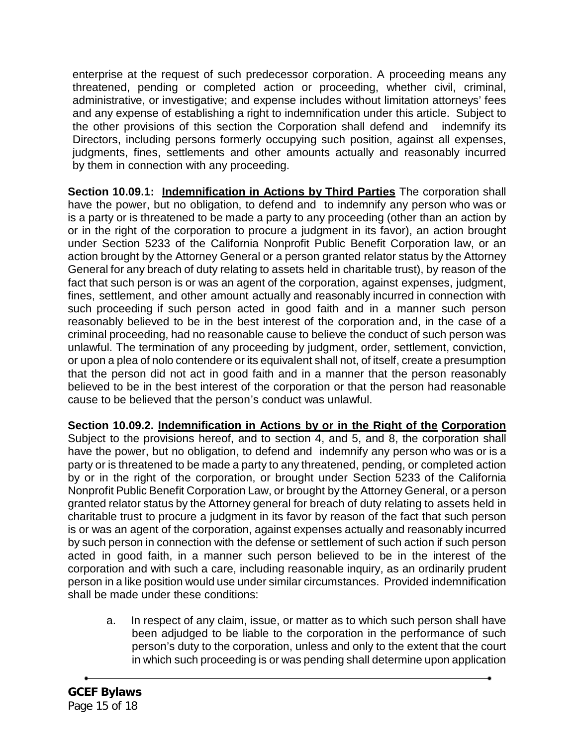enterprise at the request of such predecessor corporation. A proceeding means any threatened, pending or completed action or proceeding, whether civil, criminal, administrative, or investigative; and expense includes without limitation attorneys' fees and any expense of establishing a right to indemnification under this article. Subject to the other provisions of this section the Corporation shall defend and indemnify its Directors, including persons formerly occupying such position, against all expenses, judgments, fines, settlements and other amounts actually and reasonably incurred by them in connection with any proceeding.

**Section 10.09.1: Indemnification in Actions by Third Parties** The corporation shall have the power, but no obligation, to defend and to indemnify any person who was or is a party or is threatened to be made a party to any proceeding (other than an action by or in the right of the corporation to procure a judgment in its favor), an action brought under Section 5233 of the California Nonprofit Public Benefit Corporation law, or an action brought by the Attorney General or a person granted relator status by the Attorney General for any breach of duty relating to assets held in charitable trust), by reason of the fact that such person is or was an agent of the corporation, against expenses, judgment, fines, settlement, and other amount actually and reasonably incurred in connection with such proceeding if such person acted in good faith and in a manner such person reasonably believed to be in the best interest of the corporation and, in the case of a criminal proceeding, had no reasonable cause to believe the conduct of such person was unlawful. The termination of any proceeding by judgment, order, settlement, conviction, or upon a plea of nolo contendere or its equivalent shall not, of itself, create a presumption that the person did not act in good faith and in a manner that the person reasonably believed to be in the best interest of the corporation or that the person had reasonable cause to be believed that the person's conduct was unlawful.

**Section 10.09.2. Indemnification in Actions by or in the Right of the Corporation** Subject to the provisions hereof, and to section 4, and 5, and 8, the corporation shall have the power, but no obligation, to defend and indemnify any person who was or is a party or is threatened to be made a party to any threatened, pending, or completed action by or in the right of the corporation, or brought under Section 5233 of the California Nonprofit Public Benefit Corporation Law, or brought by the Attorney General, or a person granted relator status by the Attorney general for breach of duty relating to assets held in charitable trust to procure a judgment in its favor by reason of the fact that such person is or was an agent of the corporation, against expenses actually and reasonably incurred by such person in connection with the defense or settlement of such action if such person acted in good faith, in a manner such person believed to be in the interest of the corporation and with such a care, including reasonable inquiry, as an ordinarily prudent person in a like position would use under similar circumstances. Provided indemnification shall be made under these conditions:

a. In respect of any claim, issue, or matter as to which such person shall have been adjudged to be liable to the corporation in the performance of such person's duty to the corporation, unless and only to the extent that the court in which such proceeding is or was pending shall determine upon application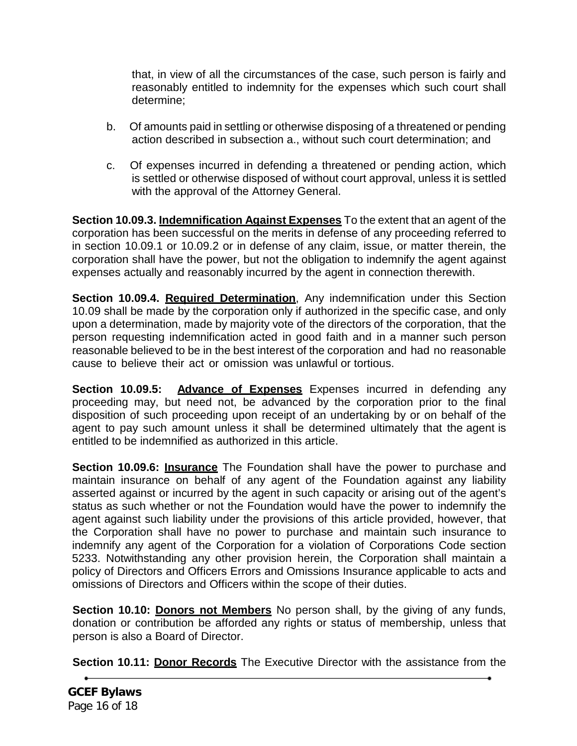that, in view of all the circumstances of the case, such person is fairly and reasonably entitled to indemnity for the expenses which such court shall determine;

- b. Of amounts paid in settling or otherwise disposing of a threatened or pending action described in subsection a., without such court determination; and
- c. Of expenses incurred in defending a threatened or pending action, which is settled or otherwise disposed of without court approval, unless it is settled with the approval of the Attorney General.

**Section 10.09.3. Indemnification Against Expenses** To the extent that an agent of the corporation has been successful on the merits in defense of any proceeding referred to in section 10.09.1 or 10.09.2 or in defense of any claim, issue, or matter therein, the corporation shall have the power, but not the obligation to indemnify the agent against expenses actually and reasonably incurred by the agent in connection therewith.

**Section 10.09.4. Required Determination**, Any indemnification under this Section 10.09 shall be made by the corporation only if authorized in the specific case, and only upon a determination, made by majority vote of the directors of the corporation, that the person requesting indemnification acted in good faith and in a manner such person reasonable believed to be in the best interest of the corporation and had no reasonable cause to believe their act or omission was unlawful or tortious.

**Section 10.09.5: Advance of Expenses** Expenses incurred in defending any proceeding may, but need not, be advanced by the corporation prior to the final disposition of such proceeding upon receipt of an undertaking by or on behalf of the agent to pay such amount unless it shall be determined ultimately that the agent is entitled to be indemnified as authorized in this article.

**Section 10.09.6: Insurance** The Foundation shall have the power to purchase and maintain insurance on behalf of any agent of the Foundation against any liability asserted against or incurred by the agent in such capacity or arising out of the agent's status as such whether or not the Foundation would have the power to indemnify the agent against such liability under the provisions of this article provided, however, that the Corporation shall have no power to purchase and maintain such insurance to indemnify any agent of the Corporation for a violation of Corporations Code section 5233. Notwithstanding any other provision herein, the Corporation shall maintain a policy of Directors and Officers Errors and Omissions Insurance applicable to acts and omissions of Directors and Officers within the scope of their duties.

**Section 10.10: Donors not Members** No person shall, by the giving of any funds, donation or contribution be afforded any rights or status of membership, unless that person is also a Board of Director.

**Section 10.11: Donor Records** The Executive Director with the assistance from the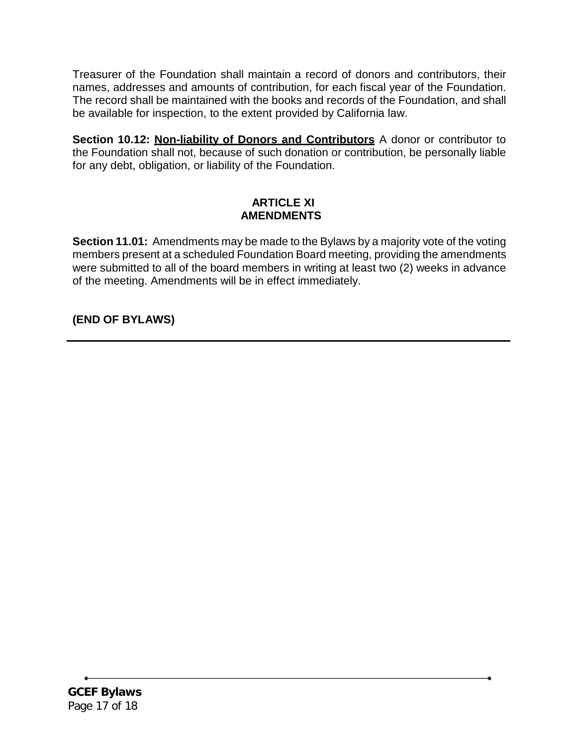Treasurer of the Foundation shall maintain a record of donors and contributors, their names, addresses and amounts of contribution, for each fiscal year of the Foundation. The record shall be maintained with the books and records of the Foundation, and shall be available for inspection, to the extent provided by California law.

**Section 10.12: Non-liability of Donors and Contributors** A donor or contributor to the Foundation shall not, because of such donation or contribution, be personally liable for any debt, obligation, or liability of the Foundation.

## **ARTICLE XI AMENDMENTS**

**Section 11.01:** Amendments may be made to the Bylaws by a majority vote of the voting members present at a scheduled Foundation Board meeting, providing the amendments were submitted to all of the board members in writing at least two (2) weeks in advance of the meeting. Amendments will be in effect immediately.

# **(END OF BYLAWS)**